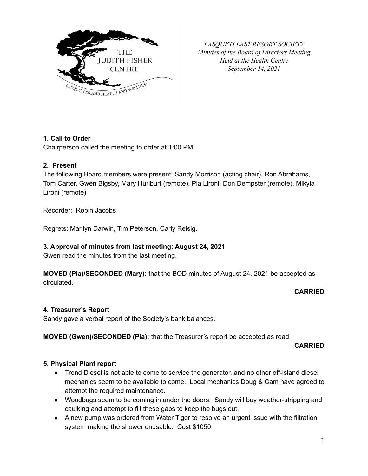

*LASQUETI LAST RESORT SOCIETY Minutes of the Board of Directors Meeting Held at the Health Centre September 14, 2021*

# **1. Call to Order**

Chairperson called the meeting to order at 1:00 PM.

## **2. Present**

The following Board members were present: Sandy Morrison (acting chair), Ron Abrahams, Tom Carter, Gwen Bigsby, Mary Hurlburt (remote), Pia Lironi, Don Dempster (remote), Mikyla Lironi (remote)

Recorder: Robin Jacobs

Regrets: Marilyn Darwin, Tim Peterson, Carly Reisig.

# **3. Approval of minutes from last meeting: August 24, 2021**

Gwen read the minutes from the last meeting.

**MOVED (Pia)/SECONDED (Mary):** that the BOD minutes of August 24, 2021 be accepted as circulated.

### **CARRIED**

### **4. Treasurer's Report**

Sandy gave a verbal report of the Society's bank balances.

# **MOVED (Gwen)/SECONDED (Pia):** that the Treasurer's report be accepted as read.

### **CARRIED**

# **5. Physical Plant report**

- Trend Diesel is not able to come to service the generator, and no other off-island diesel mechanics seem to be available to come. Local mechanics Doug & Cam have agreed to attempt the required maintenance.
- Woodbugs seem to be coming in under the doors. Sandy will buy weather-stripping and caulking and attempt to fill these gaps to keep the bugs out.
- A new pump was ordered from Water Tiger to resolve an urgent issue with the filtration system making the shower unusable. Cost \$1050.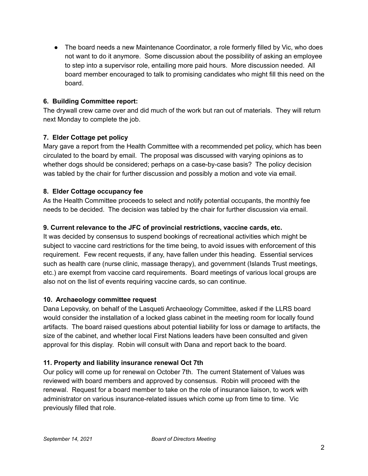• The board needs a new Maintenance Coordinator, a role formerly filled by Vic, who does not want to do it anymore. Some discussion about the possibility of asking an employee to step into a supervisor role, entailing more paid hours. More discussion needed. All board member encouraged to talk to promising candidates who might fill this need on the board.

# **6. Building Committee report:**

The drywall crew came over and did much of the work but ran out of materials. They will return next Monday to complete the job.

# **7. Elder Cottage pet policy**

Mary gave a report from the Health Committee with a recommended pet policy, which has been circulated to the board by email. The proposal was discussed with varying opinions as to whether dogs should be considered; perhaps on a case-by-case basis? The policy decision was tabled by the chair for further discussion and possibly a motion and vote via email.

# **8. Elder Cottage occupancy fee**

As the Health Committee proceeds to select and notify potential occupants, the monthly fee needs to be decided. The decision was tabled by the chair for further discussion via email.

# **9. Current relevance to the JFC of provincial restrictions, vaccine cards, etc.**

It was decided by consensus to suspend bookings of recreational activities which might be subject to vaccine card restrictions for the time being, to avoid issues with enforcement of this requirement. Few recent requests, if any, have fallen under this heading. Essential services such as health care (nurse clinic, massage therapy), and government (Islands Trust meetings, etc.) are exempt from vaccine card requirements. Board meetings of various local groups are also not on the list of events requiring vaccine cards, so can continue.

# **10. Archaeology committee request**

Dana Lepovsky, on behalf of the Lasqueti Archaeology Committee, asked if the LLRS board would consider the installation of a locked glass cabinet in the meeting room for locally found artifacts. The board raised questions about potential liability for loss or damage to artifacts, the size of the cabinet, and whether local First Nations leaders have been consulted and given approval for this display. Robin will consult with Dana and report back to the board.

# **11. Property and liability insurance renewal Oct 7th**

Our policy will come up for renewal on October 7th. The current Statement of Values was reviewed with board members and approved by consensus. Robin will proceed with the renewal. Request for a board member to take on the role of insurance liaison, to work with administrator on various insurance-related issues which come up from time to time. Vic previously filled that role.